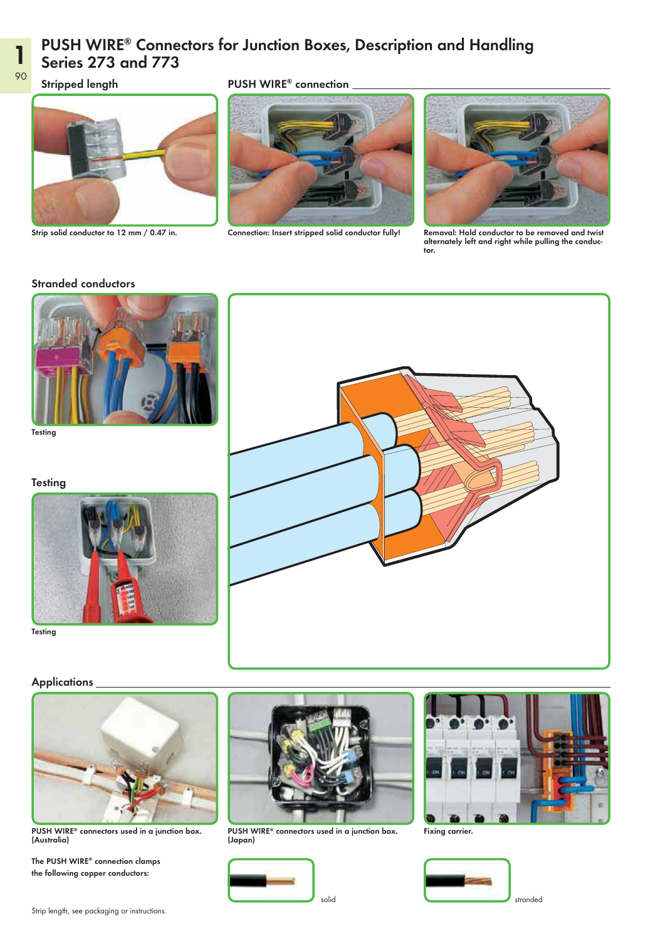### PUSH WIRE® Connectors for Junction Boxes, Description and Handling Series 273 and 773

Stripped length **EXECUTE:** PUSH WIRE® connection







Strip solid conductor to 12 mm / 0.47 in. Connection: Insert stripped solid conductor fully! Removal: Hold conductor to be removed and twist alternately left and right while pulling the conductor.

#### Stranded conductors



Testing





Testing



#### **Applications**



(Australia)

The PUSH WIRE® connection clamps the following copper conductors:



<code>PUSH</code> WIRE® connectors used in a junction box.  $\qquad$  <code>PUSH</code> WIRE® connectors used in a junction box.  $\qquad$  Fixing carrier. (Japan)







1